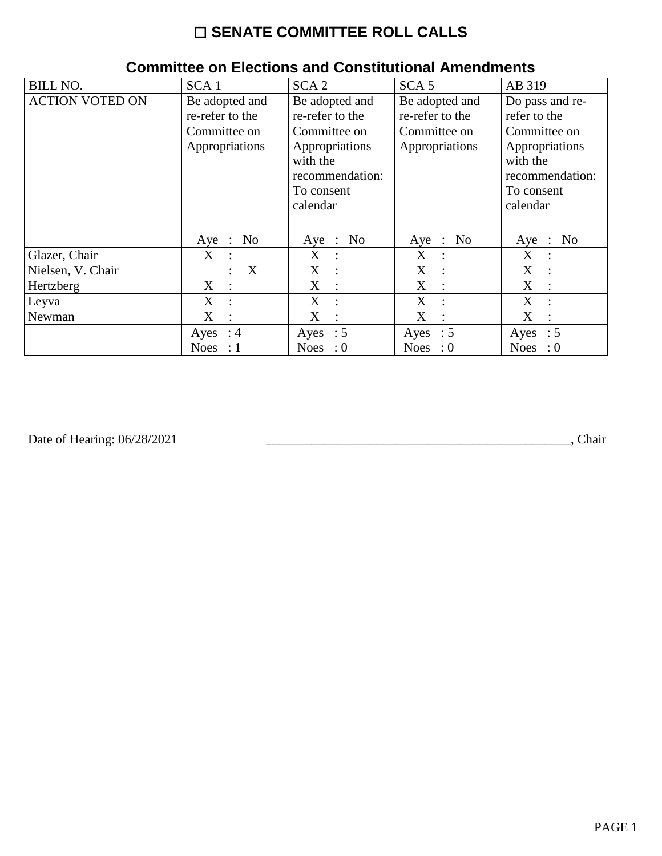# ☐ **SENATE COMMITTEE ROLL CALLS**

| <b>BILL NO.</b>        | SCA <sub>1</sub>                  | SCA <sub>2</sub>    | SCA <sub>5</sub>  | AB 319                        |
|------------------------|-----------------------------------|---------------------|-------------------|-------------------------------|
| <b>ACTION VOTED ON</b> | Be adopted and                    | Be adopted and      | Be adopted and    | Do pass and re-               |
|                        | re-refer to the                   | re-refer to the     | re-refer to the   | refer to the                  |
|                        | Committee on                      | Committee on        | Committee on      | Committee on                  |
|                        | Appropriations                    | Appropriations      | Appropriations    | Appropriations                |
|                        |                                   | with the            |                   | with the                      |
|                        |                                   | recommendation:     |                   | recommendation:               |
|                        |                                   | To consent          |                   | To consent                    |
|                        |                                   | calendar            |                   | calendar                      |
|                        |                                   |                     |                   |                               |
|                        | No<br>$Aye$ :                     | Aye : No            | Aye : No          | No<br>Aye<br>$\sim$ 100       |
| Glazer, Chair          | $X_{\mathcal{L}}$<br>$\mathbf{L}$ | X<br>$\mathcal{L}$  | X<br>$\mathbf{r}$ | X<br>$\sim$ 1.                |
| Nielsen, V. Chair      | X                                 | X<br>$\mathbf{r}$   | X<br>$\cdot$ :    | X<br>$\overline{\phantom{a}}$ |
| Hertzberg              | X<br>$\ddot{\cdot}$               | X<br>$\ddot{\cdot}$ | X                 | X                             |
| Leyva                  | X<br>$\ddot{\cdot}$               | X<br>$\ddot{\cdot}$ | X                 | X                             |
| Newman                 | X<br>$\ddot{\cdot}$               | X                   | X                 | X                             |
|                        | Ayes : $4$                        | Ayes : $5$          | Ayes : $5$        | $\therefore$ 5<br>Ayes        |
|                        | <b>Noes</b><br>-: 1               | Noes : $0$          | Noes : $0$        | <b>Noes</b><br>$\therefore 0$ |

### **Committee on Elections and Constitutional Amendments**

Date of Hearing: 06/28/2021

Date of Hearing: 06/28/2021 \_\_\_\_\_\_\_\_\_\_\_\_\_\_\_\_\_\_\_\_\_\_\_\_\_\_\_\_\_\_\_\_\_\_\_\_\_\_\_\_\_\_\_\_\_\_\_, Chair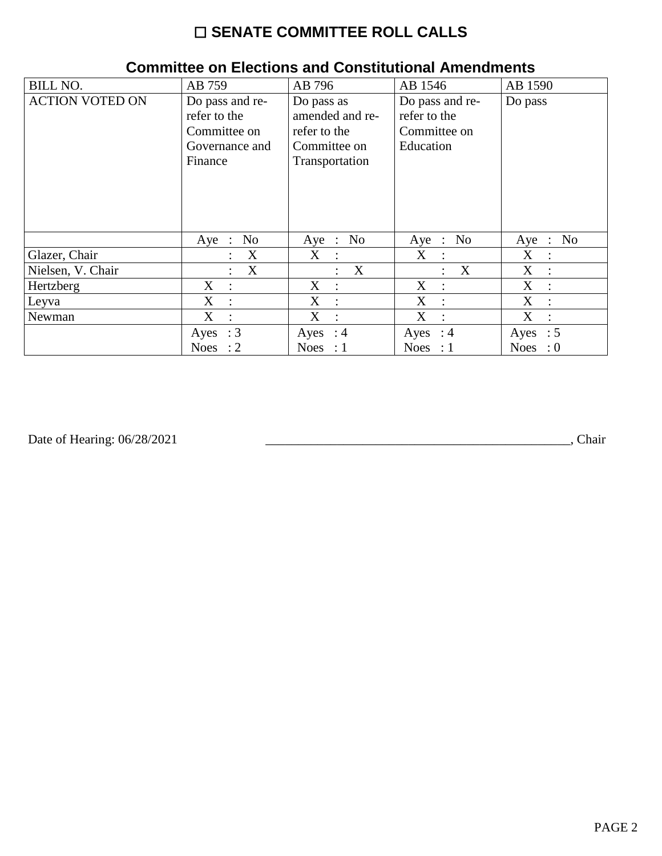# ☐ **SENATE COMMITTEE ROLL CALLS**

| <b>BILL NO.</b>        | AB 759                                                                       | AB 796                                                                          | AB 1546                                                      | AB 1590                                 |
|------------------------|------------------------------------------------------------------------------|---------------------------------------------------------------------------------|--------------------------------------------------------------|-----------------------------------------|
| <b>ACTION VOTED ON</b> | Do pass and re-<br>refer to the<br>Committee on<br>Governance and<br>Finance | Do pass as<br>amended and re-<br>refer to the<br>Committee on<br>Transportation | Do pass and re-<br>refer to the<br>Committee on<br>Education | Do pass                                 |
|                        | No<br>$Aye$ :                                                                | Aye : No                                                                        | No<br>$Aye$ :                                                | N <sub>0</sub><br>Aye<br>$\mathbb{R}^2$ |
| Glazer, Chair          | X                                                                            | $X_{\mathcal{I}}$<br>$\mathbf{r}$                                               | X<br>$\ddot{\phantom{0}}$                                    | X<br>$\ddot{\cdot}$                     |
| Nielsen, V. Chair      | X<br>$\ddot{\cdot}$                                                          | $\boldsymbol{\mathrm{X}}$<br>$\ddot{\cdot}$                                     | X<br>$\ddot{\phantom{a}}$                                    | X<br>$\mathbb{I}$                       |
| Hertzberg              | $X_{\mathcal{C}}$<br>$\cdot$                                                 | $X_{\mathcal{C}}$<br>$\mathbb{R}^2$                                             | X<br>$\cdot$ :                                               | X<br>$\ddot{\cdot}$                     |
| Leyva                  | X<br>$\ddot{\cdot}$                                                          | X<br>$\cdot$                                                                    | X<br>$\cdot$ .                                               | X<br>$\overline{\phantom{a}}$           |
| Newman                 | X<br>$\ddot{\cdot}$                                                          | X<br>$\ddot{\cdot}$                                                             | X<br>$\ddot{\cdot}$                                          | X<br>$\ddot{\cdot}$                     |
|                        | Ayes : $3$                                                                   | Ayes : $4$                                                                      | Ayes : $4$                                                   | Ayes : $5$                              |
|                        | <b>Noes</b><br>$\cdot$ 2                                                     | Noes : $1$                                                                      | Noes : $1$                                                   | <b>Noes</b><br>$\cdot 0$                |

#### **Committee on Elections and Constitutional Amendments**

Date of Hearing: 06/28/2021

Date of Hearing: 06/28/2021 \_\_\_\_\_\_\_\_\_\_\_\_\_\_\_\_\_\_\_\_\_\_\_\_\_\_\_\_\_\_\_\_\_\_\_\_\_\_\_\_\_\_\_\_\_\_\_, Chair